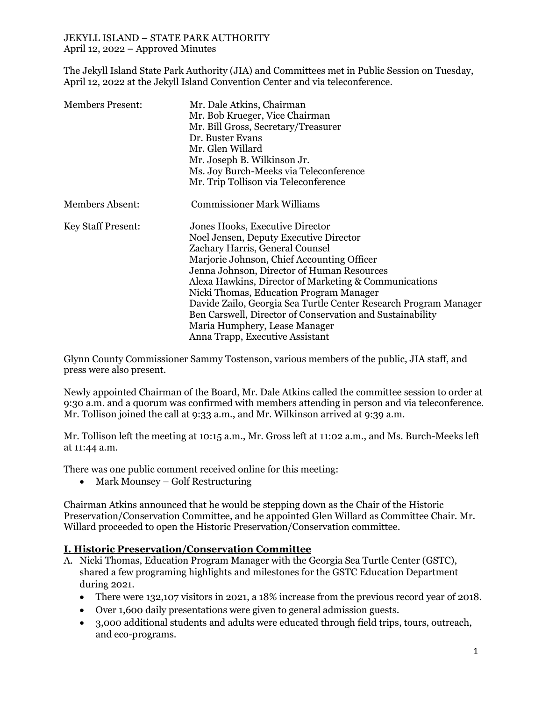The Jekyll Island State Park Authority (JIA) and Committees met in Public Session on Tuesday, April 12, 2022 at the Jekyll Island Convention Center and via teleconference.

| <b>Members Present:</b>   | Mr. Dale Atkins, Chairman<br>Mr. Bob Krueger, Vice Chairman<br>Mr. Bill Gross, Secretary/Treasurer<br>Dr. Buster Evans<br>Mr. Glen Willard<br>Mr. Joseph B. Wilkinson Jr.<br>Ms. Joy Burch-Meeks via Teleconference<br>Mr. Trip Tollison via Teleconference                                                                                                                                                                                                                                                       |
|---------------------------|-------------------------------------------------------------------------------------------------------------------------------------------------------------------------------------------------------------------------------------------------------------------------------------------------------------------------------------------------------------------------------------------------------------------------------------------------------------------------------------------------------------------|
| <b>Members Absent:</b>    | <b>Commissioner Mark Williams</b>                                                                                                                                                                                                                                                                                                                                                                                                                                                                                 |
| <b>Key Staff Present:</b> | Jones Hooks, Executive Director<br>Noel Jensen, Deputy Executive Director<br>Zachary Harris, General Counsel<br>Marjorie Johnson, Chief Accounting Officer<br>Jenna Johnson, Director of Human Resources<br>Alexa Hawkins, Director of Marketing & Communications<br>Nicki Thomas, Education Program Manager<br>Davide Zailo, Georgia Sea Turtle Center Research Program Manager<br>Ben Carswell, Director of Conservation and Sustainability<br>Maria Humphery, Lease Manager<br>Anna Trapp, Executive Assistant |

Glynn County Commissioner Sammy Tostenson, various members of the public, JIA staff, and press were also present.

Newly appointed Chairman of the Board, Mr. Dale Atkins called the committee session to order at 9:30 a.m. and a quorum was confirmed with members attending in person and via teleconference. Mr. Tollison joined the call at 9:33 a.m., and Mr. Wilkinson arrived at 9:39 a.m.

Mr. Tollison left the meeting at 10:15 a.m., Mr. Gross left at 11:02 a.m., and Ms. Burch-Meeks left at 11:44 a.m.

There was one public comment received online for this meeting:

• Mark Mounsey – Golf Restructuring

Chairman Atkins announced that he would be stepping down as the Chair of the Historic Preservation/Conservation Committee, and he appointed Glen Willard as Committee Chair. Mr. Willard proceeded to open the Historic Preservation/Conservation committee.

## **I. Historic Preservation/Conservation Committee**

- A. Nicki Thomas, Education Program Manager with the Georgia Sea Turtle Center (GSTC), shared a few programing highlights and milestones for the GSTC Education Department during 2021.
	- There were 132,107 visitors in 2021, a 18% increase from the previous record year of 2018.
	- Over 1,600 daily presentations were given to general admission guests.
	- 3,000 additional students and adults were educated through field trips, tours, outreach, and eco-programs.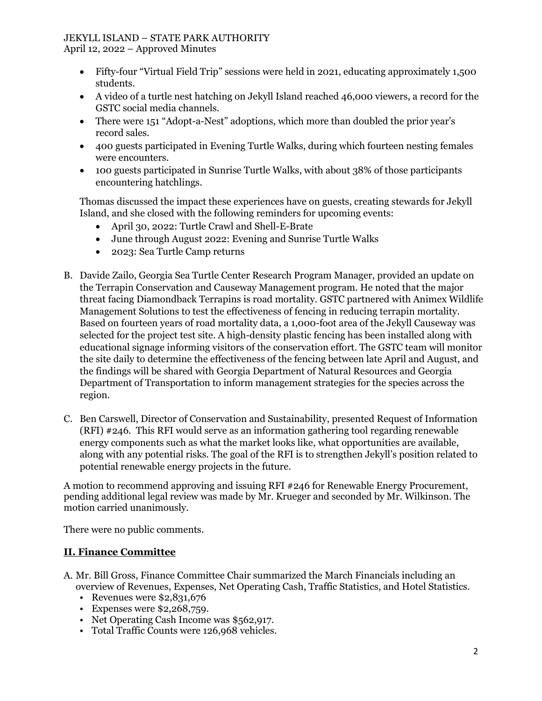April 12, 2022 – Approved Minutes

- Fifty-four "Virtual Field Trip" sessions were held in 2021, educating approximately 1,500 students.
- A video of a turtle nest hatching on Jekyll Island reached 46,000 viewers, a record for the GSTC social media channels.
- There were 151 "Adopt-a-Nest" adoptions, which more than doubled the prior year's record sales.
- 400 guests participated in Evening Turtle Walks, during which fourteen nesting females were encounters.
- 100 guests participated in Sunrise Turtle Walks, with about 38% of those participants encountering hatchlings.

Thomas discussed the impact these experiences have on guests, creating stewards for Jekyll Island, and she closed with the following reminders for upcoming events:

- April 30, 2022: Turtle Crawl and Shell-E-Brate
- June through August 2022: Evening and Sunrise Turtle Walks
- 2023: Sea Turtle Camp returns
- B. Davide Zailo, Georgia Sea Turtle Center Research Program Manager, provided an update on the Terrapin Conservation and Causeway Management program. He noted that the major threat facing Diamondback Terrapins is road mortality. GSTC partnered with Animex Wildlife Management Solutions to test the effectiveness of fencing in reducing terrapin mortality. Based on fourteen years of road mortality data, a 1,000-foot area of the Jekyll Causeway was selected for the project test site. A high-density plastic fencing has been installed along with educational signage informing visitors of the conservation effort. The GSTC team will monitor the site daily to determine the effectiveness of the fencing between late April and August, and the findings will be shared with Georgia Department of Natural Resources and Georgia Department of Transportation to inform management strategies for the species across the region.
- C. Ben Carswell, Director of Conservation and Sustainability, presented Request of Information (RFI) #246. This RFI would serve as an information gathering tool regarding renewable energy components such as what the market looks like, what opportunities are available, along with any potential risks. The goal of the RFI is to strengthen Jekyll's position related to potential renewable energy projects in the future.

A motion to recommend approving and issuing RFI #246 for Renewable Energy Procurement, pending additional legal review was made by Mr. Krueger and seconded by Mr. Wilkinson. The motion carried unanimously.

There were no public comments.

# **II. Finance Committee**

- A. Mr. Bill Gross, Finance Committee Chair summarized the March Financials including an overview of Revenues, Expenses, Net Operating Cash, Traffic Statistics, and Hotel Statistics.
	- Revenues were \$2,831,676
	- Expenses were \$2,268,759.
	- Net Operating Cash Income was \$562,917.
	- Total Traffic Counts were 126,968 vehicles.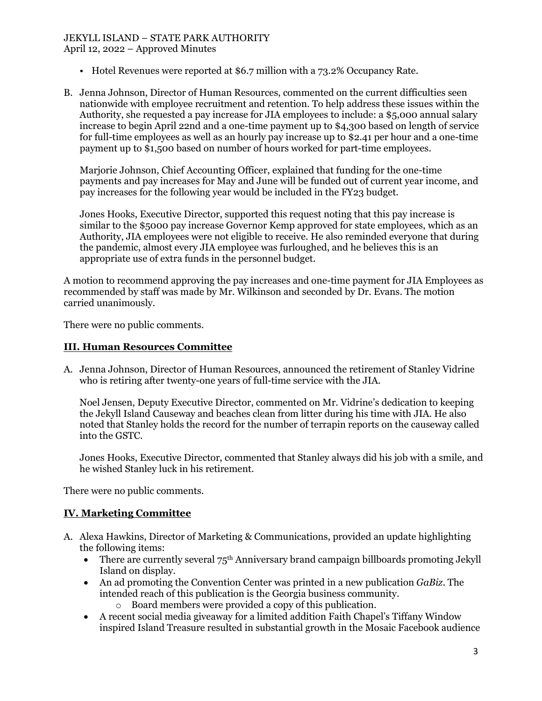April 12, 2022 – Approved Minutes

- Hotel Revenues were reported at \$6.7 million with a 73.2% Occupancy Rate.
- B. Jenna Johnson, Director of Human Resources, commented on the current difficulties seen nationwide with employee recruitment and retention. To help address these issues within the Authority, she requested a pay increase for JIA employees to include: a \$5,000 annual salary increase to begin April 22nd and a one-time payment up to \$4,300 based on length of service for full-time employees as well as an hourly pay increase up to \$2.41 per hour and a one-time payment up to \$1,500 based on number of hours worked for part-time employees.

Marjorie Johnson, Chief Accounting Officer, explained that funding for the one-time payments and pay increases for May and June will be funded out of current year income, and pay increases for the following year would be included in the FY23 budget.

Jones Hooks, Executive Director, supported this request noting that this pay increase is similar to the \$5000 pay increase Governor Kemp approved for state employees, which as an Authority, JIA employees were not eligible to receive. He also reminded everyone that during the pandemic, almost every JIA employee was furloughed, and he believes this is an appropriate use of extra funds in the personnel budget.

A motion to recommend approving the pay increases and one-time payment for JIA Employees as recommended by staff was made by Mr. Wilkinson and seconded by Dr. Evans. The motion carried unanimously.

There were no public comments.

## **III. Human Resources Committee**

A. Jenna Johnson, Director of Human Resources, announced the retirement of Stanley Vidrine who is retiring after twenty-one years of full-time service with the JIA.

Noel Jensen, Deputy Executive Director, commented on Mr. Vidrine's dedication to keeping the Jekyll Island Causeway and beaches clean from litter during his time with JIA. He also noted that Stanley holds the record for the number of terrapin reports on the causeway called into the GSTC.

Jones Hooks, Executive Director, commented that Stanley always did his job with a smile, and he wished Stanley luck in his retirement.

There were no public comments.

# **IV. Marketing Committee**

- A. Alexa Hawkins, Director of Marketing & Communications, provided an update highlighting the following items:
	- There are currently several  $75<sup>th</sup>$  Anniversary brand campaign billboards promoting Jekyll Island on display.
	- An ad promoting the Convention Center was printed in a new publication *GaBiz*. The intended reach of this publication is the Georgia business community.
		- o Board members were provided a copy of this publication.
	- A recent social media giveaway for a limited addition Faith Chapel's Tiffany Window inspired Island Treasure resulted in substantial growth in the Mosaic Facebook audience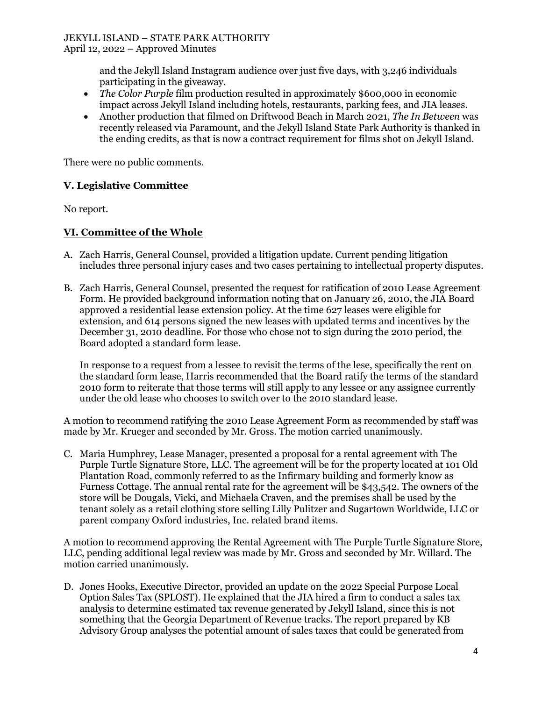April 12, 2022 – Approved Minutes

and the Jekyll Island Instagram audience over just five days, with 3,246 individuals participating in the giveaway.

- *The Color Purple* film production resulted in approximately \$600,000 in economic impact across Jekyll Island including hotels, restaurants, parking fees, and JIA leases.
- Another production that filmed on Driftwood Beach in March 2021, *The In Between* was recently released via Paramount, and the Jekyll Island State Park Authority is thanked in the ending credits, as that is now a contract requirement for films shot on Jekyll Island.

There were no public comments.

#### **V. Legislative Committee**

No report.

#### **VI. Committee of the Whole**

- A. Zach Harris, General Counsel, provided a litigation update. Current pending litigation includes three personal injury cases and two cases pertaining to intellectual property disputes.
- B. Zach Harris, General Counsel, presented the request for ratification of 2010 Lease Agreement Form. He provided background information noting that on January 26, 2010, the JIA Board approved a residential lease extension policy. At the time 627 leases were eligible for extension, and 614 persons signed the new leases with updated terms and incentives by the December 31, 2010 deadline. For those who chose not to sign during the 2010 period, the Board adopted a standard form lease.

In response to a request from a lessee to revisit the terms of the lese, specifically the rent on the standard form lease, Harris recommended that the Board ratify the terms of the standard 2010 form to reiterate that those terms will still apply to any lessee or any assignee currently under the old lease who chooses to switch over to the 2010 standard lease.

A motion to recommend ratifying the 2010 Lease Agreement Form as recommended by staff was made by Mr. Krueger and seconded by Mr. Gross. The motion carried unanimously.

C. Maria Humphrey, Lease Manager, presented a proposal for a rental agreement with The Purple Turtle Signature Store, LLC. The agreement will be for the property located at 101 Old Plantation Road, commonly referred to as the Infirmary building and formerly know as Furness Cottage. The annual rental rate for the agreement will be \$43,542. The owners of the store will be Dougals, Vicki, and Michaela Craven, and the premises shall be used by the tenant solely as a retail clothing store selling Lilly Pulitzer and Sugartown Worldwide, LLC or parent company Oxford industries, Inc. related brand items.

A motion to recommend approving the Rental Agreement with The Purple Turtle Signature Store, LLC, pending additional legal review was made by Mr. Gross and seconded by Mr. Willard. The motion carried unanimously.

D. Jones Hooks, Executive Director, provided an update on the 2022 Special Purpose Local Option Sales Tax (SPLOST). He explained that the JIA hired a firm to conduct a sales tax analysis to determine estimated tax revenue generated by Jekyll Island, since this is not something that the Georgia Department of Revenue tracks. The report prepared by KB Advisory Group analyses the potential amount of sales taxes that could be generated from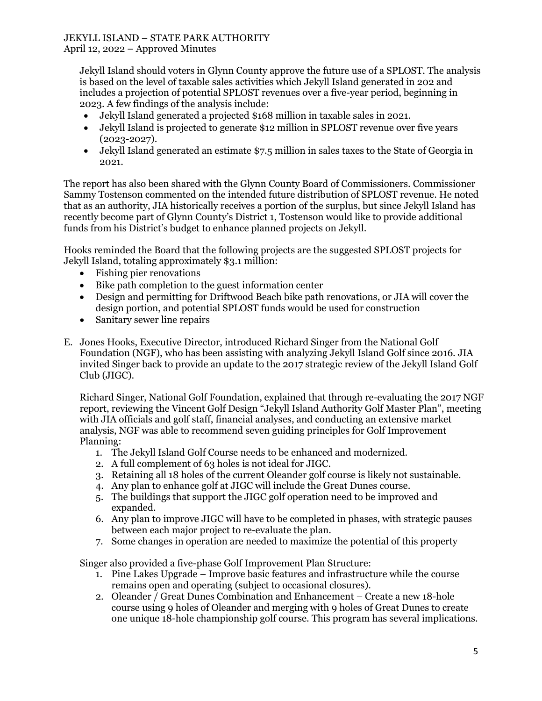#### April 12, 2022 – Approved Minutes

Jekyll Island should voters in Glynn County approve the future use of a SPLOST. The analysis is based on the level of taxable sales activities which Jekyll Island generated in 202 and includes a projection of potential SPLOST revenues over a five-year period, beginning in 2023. A few findings of the analysis include:

- Jekyll Island generated a projected \$168 million in taxable sales in 2021.
- Jekyll Island is projected to generate \$12 million in SPLOST revenue over five years (2023-2027).
- Jekyll Island generated an estimate \$7.5 million in sales taxes to the State of Georgia in 2021.

The report has also been shared with the Glynn County Board of Commissioners. Commissioner Sammy Tostenson commented on the intended future distribution of SPLOST revenue. He noted that as an authority, JIA historically receives a portion of the surplus, but since Jekyll Island has recently become part of Glynn County's District 1, Tostenson would like to provide additional funds from his District's budget to enhance planned projects on Jekyll.

Hooks reminded the Board that the following projects are the suggested SPLOST projects for Jekyll Island, totaling approximately \$3.1 million:

- Fishing pier renovations
- Bike path completion to the guest information center
- Design and permitting for Driftwood Beach bike path renovations, or JIA will cover the design portion, and potential SPLOST funds would be used for construction
- Sanitary sewer line repairs
- E. Jones Hooks, Executive Director, introduced Richard Singer from the National Golf Foundation (NGF), who has been assisting with analyzing Jekyll Island Golf since 2016. JIA invited Singer back to provide an update to the 2017 strategic review of the Jekyll Island Golf Club (JIGC).

Richard Singer, National Golf Foundation, explained that through re-evaluating the 2017 NGF report, reviewing the Vincent Golf Design "Jekyll Island Authority Golf Master Plan", meeting with JIA officials and golf staff, financial analyses, and conducting an extensive market analysis, NGF was able to recommend seven guiding principles for Golf Improvement Planning:

- 1. The Jekyll Island Golf Course needs to be enhanced and modernized.
- 2. A full complement of 63 holes is not ideal for JIGC.
- 3. Retaining all 18 holes of the current Oleander golf course is likely not sustainable.
- 4. Any plan to enhance golf at JIGC will include the Great Dunes course.
- 5. The buildings that support the JIGC golf operation need to be improved and expanded.
- 6. Any plan to improve JIGC will have to be completed in phases, with strategic pauses between each major project to re-evaluate the plan.
- 7. Some changes in operation are needed to maximize the potential of this property

Singer also provided a five-phase Golf Improvement Plan Structure:

- 1. Pine Lakes Upgrade Improve basic features and infrastructure while the course remains open and operating (subject to occasional closures).
- 2. Oleander / Great Dunes Combination and Enhancement Create a new 18-hole course using 9 holes of Oleander and merging with 9 holes of Great Dunes to create one unique 18-hole championship golf course. This program has several implications.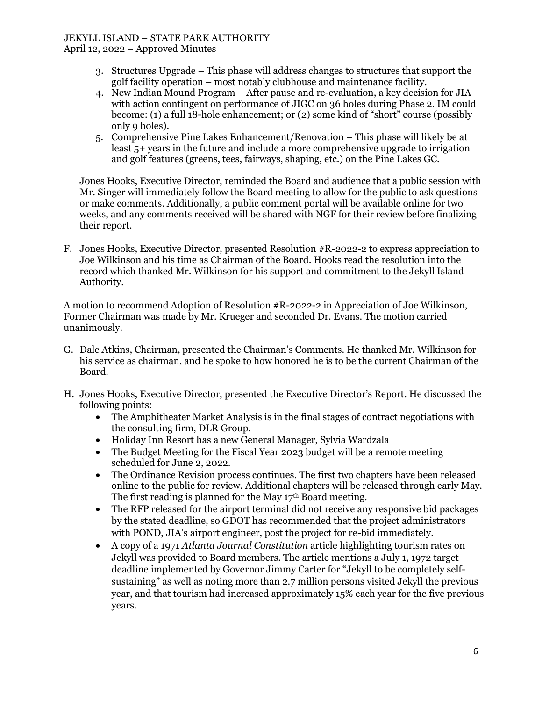April 12, 2022 – Approved Minutes

- 3. Structures Upgrade This phase will address changes to structures that support the golf facility operation – most notably clubhouse and maintenance facility.
- 4. New Indian Mound Program After pause and re-evaluation, a key decision for JIA with action contingent on performance of JIGC on 36 holes during Phase 2. IM could become: (1) a full 18-hole enhancement; or (2) some kind of "short" course (possibly only 9 holes).
- 5. Comprehensive Pine Lakes Enhancement/Renovation This phase will likely be at least 5+ years in the future and include a more comprehensive upgrade to irrigation and golf features (greens, tees, fairways, shaping, etc.) on the Pine Lakes GC.

Jones Hooks, Executive Director, reminded the Board and audience that a public session with Mr. Singer will immediately follow the Board meeting to allow for the public to ask questions or make comments. Additionally, a public comment portal will be available online for two weeks, and any comments received will be shared with NGF for their review before finalizing their report.

F. Jones Hooks, Executive Director, presented Resolution #R-2022-2 to express appreciation to Joe Wilkinson and his time as Chairman of the Board. Hooks read the resolution into the record which thanked Mr. Wilkinson for his support and commitment to the Jekyll Island Authority.

A motion to recommend Adoption of Resolution #R-2022-2 in Appreciation of Joe Wilkinson, Former Chairman was made by Mr. Krueger and seconded Dr. Evans. The motion carried unanimously.

- G. Dale Atkins, Chairman, presented the Chairman's Comments. He thanked Mr. Wilkinson for his service as chairman, and he spoke to how honored he is to be the current Chairman of the Board.
- H. Jones Hooks, Executive Director, presented the Executive Director's Report. He discussed the following points:
	- The Amphitheater Market Analysis is in the final stages of contract negotiations with the consulting firm, DLR Group.
	- Holiday Inn Resort has a new General Manager, Sylvia Wardzala
	- The Budget Meeting for the Fiscal Year 2023 budget will be a remote meeting scheduled for June 2, 2022.
	- The Ordinance Revision process continues. The first two chapters have been released online to the public for review. Additional chapters will be released through early May. The first reading is planned for the May 17th Board meeting.
	- The RFP released for the airport terminal did not receive any responsive bid packages by the stated deadline, so GDOT has recommended that the project administrators with POND, JIA's airport engineer, post the project for re-bid immediately.
	- A copy of a 1971 *Atlanta Journal Constitution* article highlighting tourism rates on Jekyll was provided to Board members. The article mentions a July 1, 1972 target deadline implemented by Governor Jimmy Carter for "Jekyll to be completely selfsustaining" as well as noting more than 2.7 million persons visited Jekyll the previous year, and that tourism had increased approximately 15% each year for the five previous years.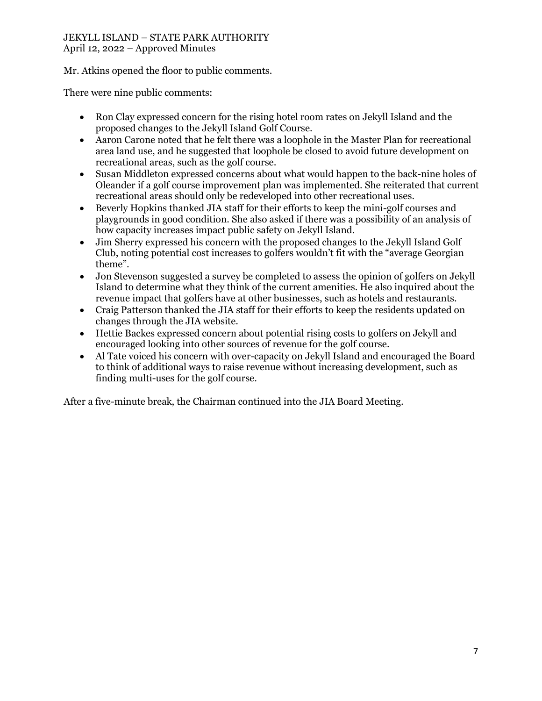#### JEKYLL ISLAND – STATE PARK AUTHORITY April 12, 2022 – Approved Minutes

Mr. Atkins opened the floor to public comments.

There were nine public comments:

- Ron Clay expressed concern for the rising hotel room rates on Jekyll Island and the proposed changes to the Jekyll Island Golf Course.
- Aaron Carone noted that he felt there was a loophole in the Master Plan for recreational area land use, and he suggested that loophole be closed to avoid future development on recreational areas, such as the golf course.
- Susan Middleton expressed concerns about what would happen to the back-nine holes of Oleander if a golf course improvement plan was implemented. She reiterated that current recreational areas should only be redeveloped into other recreational uses.
- Beverly Hopkins thanked JIA staff for their efforts to keep the mini-golf courses and playgrounds in good condition. She also asked if there was a possibility of an analysis of how capacity increases impact public safety on Jekyll Island.
- Jim Sherry expressed his concern with the proposed changes to the Jekyll Island Golf Club, noting potential cost increases to golfers wouldn't fit with the "average Georgian theme".
- Jon Stevenson suggested a survey be completed to assess the opinion of golfers on Jekyll Island to determine what they think of the current amenities. He also inquired about the revenue impact that golfers have at other businesses, such as hotels and restaurants.
- Craig Patterson thanked the JIA staff for their efforts to keep the residents updated on changes through the JIA website.
- Hettie Backes expressed concern about potential rising costs to golfers on Jekyll and encouraged looking into other sources of revenue for the golf course.
- Al Tate voiced his concern with over-capacity on Jekyll Island and encouraged the Board to think of additional ways to raise revenue without increasing development, such as finding multi-uses for the golf course.

After a five-minute break, the Chairman continued into the JIA Board Meeting.